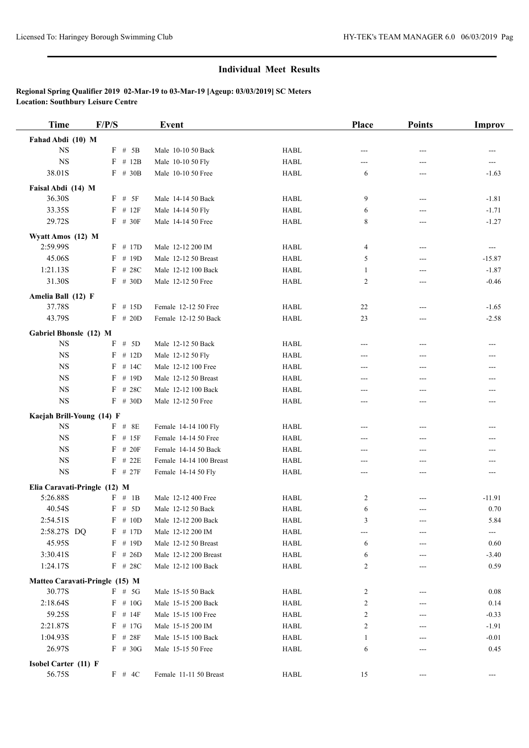| <b>Time</b>                    | F/P/S      | <b>Event</b>            |             | Place | <b>Points</b> | <b>Improv</b>              |
|--------------------------------|------------|-------------------------|-------------|-------|---------------|----------------------------|
| Fahad Abdi (10) M              |            |                         |             |       |               |                            |
| <b>NS</b>                      | $F$ # 5B   | Male 10-10 50 Back      | <b>HABL</b> | $---$ | ---           | ---                        |
| <b>NS</b>                      | $F$ # 12B  | Male 10-10 50 Fly       | <b>HABL</b> | ---   | ---           | ---                        |
| 38.01S                         | $F$ # 30B  | Male 10-10 50 Free      | <b>HABL</b> | 6     | ---           | $-1.63$                    |
| Faisal Abdi (14) M             |            |                         |             |       |               |                            |
| 36.30S                         | $F$ # 5F   | Male 14-14 50 Back      | <b>HABL</b> | 9     | ---           | $-1.81$                    |
| 33.35S                         | $F$ # 12F  | Male 14-14 50 Fly       | <b>HABL</b> | 6     | $---$         | $-1.71$                    |
| 29.72S                         | $F$ # 30F  | Male 14-14 50 Free      | <b>HABL</b> | 8     | ---           | $-1.27$                    |
| Wyatt Amos (12) M              |            |                         |             |       |               |                            |
| 2:59.99S                       | $F$ # 17D  | Male 12-12 200 IM       | <b>HABL</b> | 4     | $---$         | $\hspace{0.05cm} \ldots$   |
| 45.06S                         | $F$ # 19D  | Male 12-12 50 Breast    | <b>HABL</b> | 5     | ---           | $-15.87$                   |
| 1:21.13S                       | $F$ # 28C  | Male 12-12 100 Back     | <b>HABL</b> | 1     | ---           | $-1.87$                    |
| 31.30S                         | $F$ # 30D  | Male 12-12 50 Free      | <b>HABL</b> | 2     | ---           | $-0.46$                    |
| Amelia Ball (12) F             |            |                         |             |       |               |                            |
| 37.78S                         | $F$ # 15D  | Female 12-12 50 Free    | <b>HABL</b> | 22    | ---           | $-1.65$                    |
| 43.79S                         | $F$ # 20D  | Female 12-12 50 Back    | <b>HABL</b> | 23    | ---           | $-2.58$                    |
|                                |            |                         |             |       |               |                            |
| Gabriel Bhonsle (12) M         |            |                         |             |       |               |                            |
| <b>NS</b>                      | $F$ # 5D   | Male 12-12 50 Back      | <b>HABL</b> | $---$ | ---           | ---                        |
| <b>NS</b>                      | $F$ # 12D  | Male 12-12 50 Fly       | <b>HABL</b> | $---$ | ---           | ---                        |
| <b>NS</b>                      | $F$ # 14C  | Male 12-12 100 Free     | <b>HABL</b> | ---   | ---           | ---                        |
| <b>NS</b>                      | $F$ # 19D  | Male 12-12 50 Breast    | <b>HABL</b> | $---$ | ---           | ---                        |
| $_{\rm NS}$                    | $F$ # 28C  | Male 12-12 100 Back     | <b>HABL</b> | ---   | ---           |                            |
| $_{\rm NS}$                    | $F$ # 30D  | Male 12-12 50 Free      | <b>HABL</b> | ---   | ---           | ---                        |
| Kaejah Brill-Young (14) F      |            |                         |             |       |               |                            |
| $_{\rm NS}$                    | $F$ # 8E   | Female 14-14 100 Fly    | <b>HABL</b> | ---   | ---           | ---                        |
| <b>NS</b>                      | $F$ # 15F  | Female 14-14 50 Free    | <b>HABL</b> | ---   | $---$         | ---                        |
| <b>NS</b>                      | $F$ # 20F  | Female 14-14 50 Back    | <b>HABL</b> | ---   | ---           | ---                        |
| $_{\rm NS}$                    | $F$ # 22E  | Female 14-14 100 Breast | <b>HABL</b> | ---   | ---           | ---                        |
| $_{\rm NS}$                    | $F$ # 27F  | Female 14-14 50 Fly     | <b>HABL</b> | ---   | ---           | ---                        |
| Elia Caravati-Pringle (12) M   |            |                         |             |       |               |                            |
| 5:26.88S                       | F # 1B     | Male 12-12 400 Free     | <b>HABL</b> | 2     | ---           | $-11.91$                   |
| 40.54S                         | $F$ # 5D   | Male 12-12 50 Back      | <b>HABL</b> | 6     | $---$         | 0.70                       |
| 2:54.51S                       | $F \# 10D$ | Male 12-12 200 Back     | HABL        | 3     | ---           | 5.84                       |
| 2:58.27S DQ                    | $F$ # 17D  | Male 12-12 200 IM       | <b>HABL</b> | ---   |               | $\qquad \qquad \text{---}$ |
| 45.95S                         | $F$ # 19D  | Male 12-12 50 Breast    | HABL        | 6     | ---           | 0.60                       |
| 3:30.41S                       | $F$ # 26D  | Male 12-12 200 Breast   | <b>HABL</b> | 6     |               | $-3.40$                    |
| 1:24.17S                       | $F$ # 28C  | Male 12-12 100 Back     | <b>HABL</b> | 2     | ---           | 0.59                       |
| Matteo Caravati-Pringle (15) M |            |                         |             |       |               |                            |
| 30.77S                         | $F$ # 5G   | Male 15-15 50 Back      | HABL        | 2     |               | 0.08                       |
| 2:18.64S                       | $F$ # 10G  | Male 15-15 200 Back     | <b>HABL</b> | 2     | ---           | 0.14                       |
| 59.25S                         | $F$ # 14F  | Male 15-15 100 Free     | HABL        | 2     | ---           | $-0.33$                    |
| 2:21.87S                       | $F$ # 17G  | Male 15-15 200 IM       | <b>HABL</b> | 2     |               | -1.91                      |
| 1:04.93S                       | $F$ # 28F  | Male 15-15 100 Back     | <b>HABL</b> | 1     |               | $-0.01$                    |
| 26.97S                         | $F$ # 30G  | Male 15-15 50 Free      | <b>HABL</b> | 6     | ---           | 0.45                       |
| Isobel Carter (11) F           |            |                         |             |       |               |                            |
| 56.75S                         | F # 4C     | Female 11-11 50 Breast  | <b>HABL</b> | 15    |               | $---$                      |
|                                |            |                         |             |       |               |                            |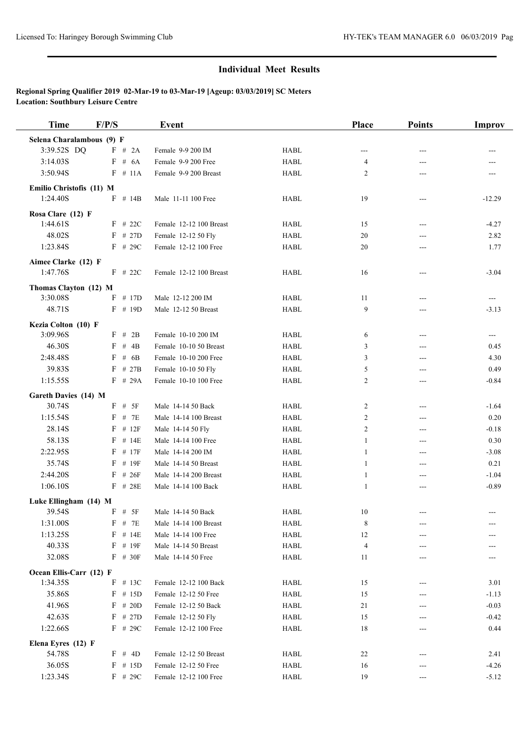| <b>Time</b>                  | F/P/S              | <b>Event</b>            |                                | Place          | <b>Points</b> | <b>Improv</b>                       |
|------------------------------|--------------------|-------------------------|--------------------------------|----------------|---------------|-------------------------------------|
| Selena Charalambous (9) F    |                    |                         |                                |                |               |                                     |
| 3:39.52S DQ                  | F # 2A             | Female 9-9 200 IM       | <b>HABL</b>                    | ---            | ---           | ---                                 |
| 3:14.03S                     | $F$ # $6A$         | Female 9-9 200 Free     | <b>HABL</b>                    | 4              | ---           |                                     |
| 3:50.94S                     | $F$ # 11A          | Female 9-9 200 Breast   | <b>HABL</b>                    | 2              | ---           |                                     |
| Emilio Christofis (11) M     |                    |                         |                                |                |               |                                     |
| 1:24.40S                     | $F$ # 14B          | Male 11-11 100 Free     | <b>HABL</b>                    | 19             | ---           | $-12.29$                            |
| Rosa Clare (12) F            |                    |                         |                                |                |               |                                     |
| 1:44.61S                     | $F$ # 22C          | Female 12-12 100 Breast | <b>HABL</b>                    | 15             | ---           | $-4.27$                             |
| 48.02S                       | $F$ # 27D          | Female 12-12 50 Fly     | <b>HABL</b>                    | 20             | ---           | 2.82                                |
| 1:23.84S                     | $F$ # 29C          | Female 12-12 100 Free   | <b>HABL</b>                    | 20             | ---           | 1.77                                |
| Aimee Clarke (12) F          |                    |                         |                                |                |               |                                     |
| 1:47.76S                     | $F$ # 22C          | Female 12-12 100 Breast | HABL                           | 16             | ---           | $-3.04$                             |
|                              |                    |                         |                                |                |               |                                     |
| Thomas Clayton (12) M        |                    |                         |                                |                |               |                                     |
| 3:30.08S                     | $F$ # 17D          | Male 12-12 200 IM       | <b>HABL</b>                    | 11             | ---           | $\hspace{0.05cm} \ldots$            |
| 48.71S                       | $F$ # 19D          | Male 12-12 50 Breast    | <b>HABL</b>                    | 9              | ---           | $-3.13$                             |
| Kezia Colton (10) F          |                    |                         |                                |                |               |                                     |
| 3:09.96S                     | $F$ # 2B           | Female 10-10 200 IM     | <b>HABL</b>                    | 6              | ---           | $\hspace{0.05cm}---\hspace{0.05cm}$ |
| 46.30S                       | F<br>$#$ 4B        | Female 10-10 50 Breast  | <b>HABL</b>                    | 3              | ---           | 0.45                                |
| 2:48.48S                     | # $6B$<br>F        | Female 10-10 200 Free   | <b>HABL</b>                    | 3              | ---           | 4.30                                |
| 39.83S                       | F<br># 27B         | Female 10-10 50 Fly     | <b>HABL</b>                    | 5              | ---           | 0.49                                |
| 1:15.55S                     | $F$ # 29A          | Female 10-10 100 Free   | <b>HABL</b>                    | $\overline{c}$ | ---           | $-0.84$                             |
| Gareth Davies (14) M         |                    |                         |                                |                |               |                                     |
| 30.74S                       | # 5F<br>F          | Male 14-14 50 Back      | <b>HABL</b>                    | $\overline{c}$ | ---           | $-1.64$                             |
| 1:15.54S                     | # 7E<br>F          | Male 14-14 100 Breast   | <b>HABL</b>                    | 2              | ---           | 0.20                                |
| 28.14S                       | F<br># 12F         | Male 14-14 50 Fly       | <b>HABL</b>                    | 2              | ---           | $-0.18$                             |
| 58.13S                       | $F$ # 14E          | Male 14-14 100 Free     | <b>HABL</b>                    | $\mathbf{1}$   | $---$         | 0.30                                |
| 2:22.95S                     | F<br># 17F         | Male 14-14 200 IM       | <b>HABL</b>                    | $\mathbf{1}$   | ---           | $-3.08$                             |
| 35.74S                       | F<br># 19F         | Male 14-14 50 Breast    | <b>HABL</b>                    | 1              | ---           | 0.21                                |
| 2:44.20S                     | #26F<br>F          | Male 14-14 200 Breast   | <b>HABL</b>                    | $\mathbf{1}$   | ---           | $-1.04$                             |
| 1:06.10S                     | $F$ # 28E          | Male 14-14 100 Back     | <b>HABL</b>                    | 1              | ---           | $-0.89$                             |
| Luke Ellingham (14) M        |                    |                         |                                |                |               |                                     |
| 39.54S                       | $_{\rm F}$<br># 5F | Male 14-14 50 Back      | <b>HABL</b>                    | 10             | ---           | ---                                 |
| 1:31.00S                     | $F$ # 7E           | Male 14-14 100 Breast   | ${\rm H}{\bf A}{\bf B}{\bf L}$ | $\,$ 8 $\,$    |               |                                     |
| 1:13.25S                     | F # 14E            | Male 14-14 100 Free     | <b>HABL</b>                    | 12             |               |                                     |
| 40.33S                       | F # 19F            | Male 14-14 50 Breast    | <b>HABL</b>                    | 4              |               |                                     |
| 32.08S                       | $F$ # 30F          | Male 14-14 50 Free      | <b>HABL</b>                    | 11             |               |                                     |
| Ocean Ellis-Carr (12) F      |                    |                         |                                |                |               |                                     |
| 1:34.35S                     | $F$ # 13C          | Female 12-12 100 Back   | <b>HABL</b>                    | 15             | ---           | 3.01                                |
| 35.86S                       | $F$ # 15D          | Female 12-12 50 Free    | <b>HABL</b>                    | 15             | ---           | $-1.13$                             |
| 41.96S                       | $F$ # 20D          | Female 12-12 50 Back    | HABL                           | 21             | ---           | $-0.03$                             |
| 42.63S                       | $F$ # 27D          | Female 12-12 50 Fly     | <b>HABL</b>                    | 15             |               | $-0.42$                             |
| 1:22.66S                     | $F$ # 29C          | Female 12-12 100 Free   | HABL                           | 18             | ---           | 0.44                                |
|                              |                    |                         |                                |                |               |                                     |
| Elena Eyres (12) F<br>54.78S | $F \# 4D$          | Female 12-12 50 Breast  | HABL                           | 22             |               | 2.41                                |
| 36.05S                       | $F$ # 15D          | Female 12-12 50 Free    | HABL                           |                | ---           | $-4.26$                             |
|                              |                    |                         |                                | 16             | ---           |                                     |
| 1:23.34S                     | $F$ # 29C          | Female 12-12 100 Free   | <b>HABL</b>                    | 19             | ---           | $-5.12$                             |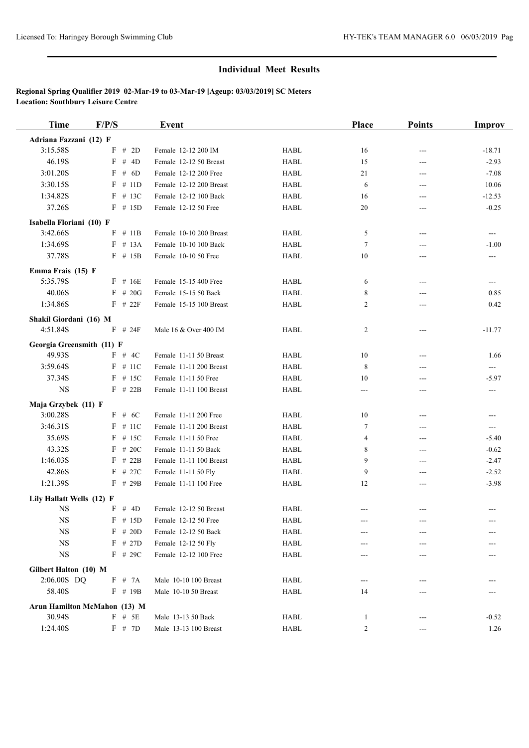| <b>Time</b>                  | F/P/S |              | Event                   |                                | Place          | <b>Points</b> | Improv   |
|------------------------------|-------|--------------|-------------------------|--------------------------------|----------------|---------------|----------|
| Adriana Fazzani (12) F       |       |              |                         |                                |                |               |          |
| 3:15.58S                     | F     | # $2D$       | Female 12-12 200 IM     | <b>HABL</b>                    | 16             | ---           | $-18.71$ |
| 46.19S                       | F     | # $4D$       | Female 12-12 50 Breast  | <b>HABL</b>                    | 15             | ---           | $-2.93$  |
| 3:01.20S                     | F     | # $6D$       | Female 12-12 200 Free   | <b>HABL</b>                    | 21             | $---$         | $-7.08$  |
| 3:30.15S                     | F     | # 11D        | Female 12-12 200 Breast | ${\rm H}{\bf A}{\bf B}{\bf L}$ | 6              | $---$         | 10.06    |
| 1:34.82S                     |       | $F$ # 13C    | Female 12-12 100 Back   | <b>HABL</b>                    | 16             | ---           | $-12.53$ |
| 37.26S                       |       | $F$ # 15D    | Female 12-12 50 Free    | <b>HABL</b>                    | 20             | ---           | $-0.25$  |
| Isabella Floriani (10) F     |       |              |                         |                                |                |               |          |
| 3:42.66S                     |       | $F \# 11B$   | Female 10-10 200 Breast | <b>HABL</b>                    | 5              | ---           | ---      |
| 1:34.69S                     |       | $F$ # 13A    | Female 10-10 100 Back   | <b>HABL</b>                    | $\tau$         | ---           | $-1.00$  |
| 37.78S                       |       | $F$ # 15B    | Female 10-10 50 Free    | <b>HABL</b>                    | 10             | ---           | ---      |
| Emma Frais (15) F            |       |              |                         |                                |                |               |          |
| 5:35.79S                     |       | $F$ # 16E    | Female 15-15 400 Free   | <b>HABL</b>                    | 6              | ---           | ---      |
| 40.06S                       |       | $F \# 20G$   | Female 15-15 50 Back    | <b>HABL</b>                    | 8              | ---           | 0.85     |
| 1:34.86S                     |       | $F$ # 22 $F$ | Female 15-15 100 Breast | <b>HABL</b>                    | 2              | ---           | 0.42     |
| Shakil Giordani (16) M       |       |              |                         |                                |                |               |          |
| 4:51.84S                     |       | $F$ # 24F    | Male 16 & Over 400 IM   | <b>HABL</b>                    | $\overline{c}$ | $---$         | $-11.77$ |
|                              |       |              |                         |                                |                |               |          |
| Georgia Greensmith (11) F    |       |              |                         |                                |                |               |          |
| 49.93S                       |       | F # 4C       | Female 11-11 50 Breast  | <b>HABL</b>                    | 10             | $---$         | 1.66     |
| 3:59.64S                     |       | $F$ # 11C    | Female 11-11 200 Breast | <b>HABL</b>                    | 8              | ---           | ---      |
| 37.34S                       |       | $F$ # 15C    | Female 11-11 50 Free    | <b>HABL</b>                    | 10             | ---           | $-5.97$  |
| <b>NS</b>                    |       | $F$ # 22B    | Female 11-11 100 Breast | <b>HABL</b>                    | ---            | ---           | $---$    |
| Maja Grzybek (11) F          |       |              |                         |                                |                |               |          |
| 3:00.28S                     |       | F # 6C       | Female 11-11 200 Free   | <b>HABL</b>                    | 10             | $---$         | ---      |
| 3:46.31S                     |       | $F$ # 11C    | Female 11-11 200 Breast | <b>HABL</b>                    | 7              | ---           | ---      |
| 35.69S                       | F     | # 15C        | Female 11-11 50 Free    | <b>HABL</b>                    | 4              | ---           | $-5.40$  |
| 43.32S                       | F     | # 20C        | Female 11-11 50 Back    | ${\rm H}{\bf A}{\bf B}{\bf L}$ | 8              | ---           | $-0.62$  |
| 1:46.03S                     | F     | # 22B        | Female 11-11 100 Breast | <b>HABL</b>                    | 9              | ---           | $-2.47$  |
| 42.86S                       | F     | # 27C        | Female 11-11 50 Fly     | <b>HABL</b>                    | 9              | $---$         | $-2.52$  |
| 1:21.39S                     |       | $F$ # 29B    | Female 11-11 100 Free   | <b>HABL</b>                    | 12             | $---$         | $-3.98$  |
| Lily Hallatt Wells (12) F    |       |              |                         |                                |                |               |          |
| <b>NS</b>                    | F     | # 4D         | Female 12-12 50 Breast  | <b>HABL</b>                    | ---            |               |          |
| <b>NS</b>                    |       | $F$ # 15D    | Female 12-12 50 Free    | HABL                           |                |               |          |
| <b>NS</b>                    |       | $F$ # 20D    | Female 12-12 50 Back    | HABL                           |                |               |          |
| <b>NS</b>                    |       | $F$ # 27D    | Female 12-12 50 Fly     | <b>HABL</b>                    |                |               |          |
| <b>NS</b>                    |       | $F$ # 29C    | Female 12-12 100 Free   | <b>HABL</b>                    | ---            | ---           |          |
| Gilbert Halton (10) M        |       |              |                         |                                |                |               |          |
| 2:06.00S DQ                  |       | F # 7A       | Male 10-10 100 Breast   | <b>HABL</b>                    | ---            |               |          |
| 58.40S                       |       | $F$ # 19B    | Male 10-10 50 Breast    | <b>HABL</b>                    | 14             |               |          |
| Arun Hamilton McMahon (13) M |       |              |                         |                                |                |               |          |
| 30.94S                       |       | $F$ # 5E     | Male 13-13 50 Back      | <b>HABL</b>                    | $\mathbf{1}$   |               | $-0.52$  |
| 1:24.40S                     |       | F # 7D       | Male 13-13 100 Breast   | <b>HABL</b>                    | $\overline{c}$ |               | 1.26     |
|                              |       |              |                         |                                |                |               |          |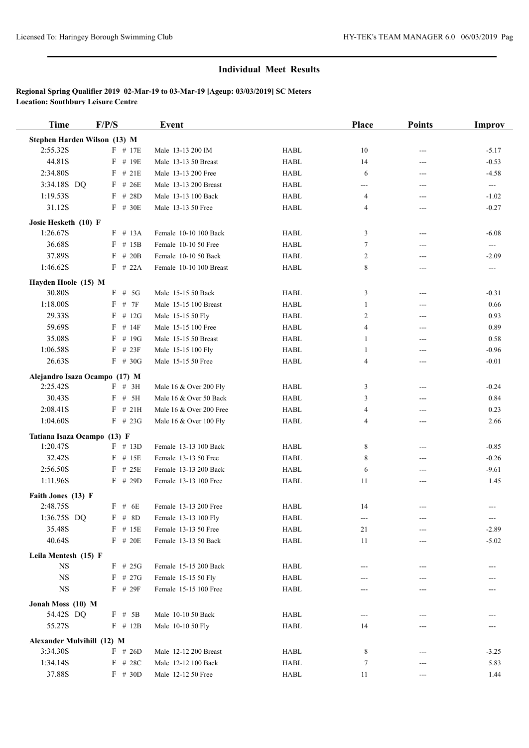| <b>Time</b>                   | F/P/S      | <b>Event</b>            |                                               | Place          | <b>Points</b> | <b>Improv</b>             |
|-------------------------------|------------|-------------------------|-----------------------------------------------|----------------|---------------|---------------------------|
| Stephen Harden Wilson (13) M  |            |                         |                                               |                |               |                           |
| 2:55.32S                      | $F$ # 17E  | Male 13-13 200 IM       | <b>HABL</b>                                   | 10             | ---           | $-5.17$                   |
| 44.81S                        | $F$ # 19E  | Male 13-13 50 Breast    | <b>HABL</b>                                   | 14             | ---           | $-0.53$                   |
| 2:34.80S                      | #21E<br>F  | Male 13-13 200 Free     | <b>HABL</b>                                   | 6              | ---           | $-4.58$                   |
| 3:34.18S DQ                   | $F$ # 26E  | Male 13-13 200 Breast   | <b>HABL</b>                                   | ---            | ---           | $\sim$                    |
| 1:19.53S                      | $F$ # 28D  | Male 13-13 100 Back     | <b>HABL</b>                                   | 4              | ---           | $-1.02$                   |
| 31.12S                        | $F$ # 30E  | Male 13-13 50 Free      | <b>HABL</b>                                   | 4              | ---           | $-0.27$                   |
| Josie Hesketh (10) F          |            |                         |                                               |                |               |                           |
| 1:26.67S                      | $F \# 13A$ | Female 10-10 100 Back   | HABL                                          | 3              | $---$         | $-6.08$                   |
| 36.68S                        | $F$ # 15B  | Female 10-10 50 Free    | <b>HABL</b>                                   | $\tau$         | ---           | $\qquad \qquad -\qquad -$ |
| 37.89S                        | $F \# 20B$ | Female 10-10 50 Back    | <b>HABL</b>                                   | 2              | ---           | $-2.09$                   |
| 1:46.62S                      | $F$ # 22A  | Female 10-10 100 Breast | <b>HABL</b>                                   | 8              | ---           | $\sim$ $\sim$             |
|                               |            |                         |                                               |                |               |                           |
| Hayden Hoole (15) M<br>30.80S | $F$ # 5G   | Male 15-15 50 Back      | <b>HABL</b>                                   | 3              | $---$         | $-0.31$                   |
| 1:18.00S                      | F<br># 7F  | Male 15-15 100 Breast   | <b>HABL</b>                                   | 1              | ---           | 0.66                      |
| 29.33S                        | F<br># 12G | Male 15-15 50 Fly       | <b>HABL</b>                                   | 2              | ---           | 0.93                      |
| 59.69S                        | F<br># 14F | Male 15-15 100 Free     | <b>HABL</b>                                   | $\overline{4}$ | ---           | 0.89                      |
| 35.08S                        | # 19G<br>F | Male 15-15 50 Breast    | <b>HABL</b>                                   | 1              | ---           | 0.58                      |
| 1:06.58S                      | $F$ # 23F  | Male 15-15 100 Fly      | <b>HABL</b>                                   | 1              | ---           | $-0.96$                   |
| 26.63S                        | $F$ # 30G  | Male 15-15 50 Free      | <b>HABL</b>                                   | $\overline{4}$ | ---           | $-0.01$                   |
|                               |            |                         |                                               |                |               |                           |
| Alejandro Isaza Ocampo (17) M |            |                         |                                               |                |               |                           |
| 2:25.42S                      | $F$ # 3H   | Male 16 & Over 200 Fly  | <b>HABL</b><br>${\rm H}{\bf A}{\bf B}{\bf L}$ | 3              | $---$         | $-0.24$                   |
| 30.43S                        | $F$ # 5H   | Male 16 & Over 50 Back  |                                               | 3              | ---           | 0.84                      |
| 2:08.41S<br>1:04.60S          | $F$ # 21H  | Male 16 & Over 200 Free | <b>HABL</b>                                   | 4              | ---           | 0.23                      |
|                               | $F$ # 23G  | Male 16 & Over 100 Fly  | <b>HABL</b>                                   | 4              | ---           | 2.66                      |
| Tatiana Isaza Ocampo (13) F   |            |                         |                                               |                |               |                           |
| 1:20.47S                      | $F$ # 13D  | Female 13-13 100 Back   | <b>HABL</b>                                   | 8              | $---$         | $-0.85$                   |
| 32.42S                        | $F$ # 15E  | Female 13-13 50 Free    | <b>HABL</b>                                   | 8              | ---           | $-0.26$                   |
| 2:56.50S                      | # 25E<br>F | Female 13-13 200 Back   | <b>HABL</b>                                   | 6              | ---           | $-9.61$                   |
| 1:11.96S                      | $F$ # 29D  | Female 13-13 100 Free   | <b>HABL</b>                                   | 11             | ---           | 1.45                      |
| Faith Jones (13) F            |            |                         |                                               |                |               |                           |
| 2:48.75S                      | $F$ # 6E   | Female 13-13 200 Free   | <b>HABL</b>                                   | 14             |               | $---$                     |
| 1:36.75S DQ                   | $F \# 8D$  | Female 13-13 100 Fly    | HABL                                          |                |               |                           |
| 35.48S                        | $F$ # 15E  | Female 13-13 50 Free    | HABL                                          | 21             |               | $-2.89$                   |
| 40.64S                        | $F$ # 20E  | Female 13-13 50 Back    | <b>HABL</b>                                   | 11             |               | $-5.02$                   |
| Leila Mentesh (15) F          |            |                         |                                               |                |               |                           |
| <b>NS</b>                     | $F$ # 25G  | Female 15-15 200 Back   | HABL                                          |                |               |                           |
| <b>NS</b>                     | $F$ # 27G  | Female 15-15 50 Fly     | HABL                                          |                |               |                           |
| $_{\rm NS}$                   | $F$ # 29F  | Female 15-15 100 Free   | HABL                                          |                |               |                           |
| Jonah Moss (10) M             |            |                         |                                               |                |               |                           |
| 54.42S DQ                     | $F \# 5B$  | Male 10-10 50 Back      | HABL                                          | ---            |               |                           |
| 55.27S                        | $F$ # 12B  | Male 10-10 50 Fly       | <b>HABL</b>                                   | 14             |               |                           |
| Alexander Mulvihill (12) M    |            |                         |                                               |                |               |                           |
| 3:34.30S                      | $F$ # 26D  | Male 12-12 200 Breast   | HABL                                          | 8              |               | $-3.25$                   |
| 1:34.14S                      | $F$ # 28C  | Male 12-12 100 Back     | HABL                                          | 7              | ---           | 5.83                      |
| 37.88S                        | $F$ # 30D  | Male 12-12 50 Free      | HABL                                          | 11             |               | 1.44                      |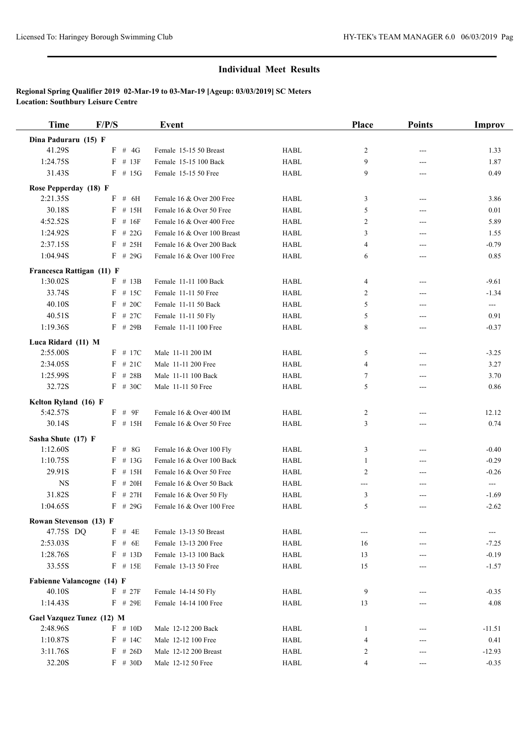| <b>Time</b>                | F/P/S        | Event                       |                                | Place          | <b>Points</b> | <b>Improv</b> |
|----------------------------|--------------|-----------------------------|--------------------------------|----------------|---------------|---------------|
| Dina Paduraru (15) F       |              |                             |                                |                |               |               |
| 41.29S                     | $F$ # 4G     | Female 15-15 50 Breast      | <b>HABL</b>                    | $\overline{c}$ | $---$         | 1.33          |
| 1:24.75S                   | # 13F<br>F   | Female 15-15 100 Back       | <b>HABL</b>                    | 9              | ---           | 1.87          |
| 31.43S                     | $F$ # 15G    | Female 15-15 50 Free        | <b>HABL</b>                    | 9              | ---           | 0.49          |
| Rose Pepperday (18) F      |              |                             |                                |                |               |               |
| 2:21.35S                   | # 6H<br>F    | Female 16 & Over 200 Free   | <b>HABL</b>                    | 3              | $---$         | 3.86          |
| 30.18S                     | F<br># 15H   | Female 16 & Over 50 Free    | <b>HABL</b>                    | 5              | ---           | 0.01          |
| 4:52.52S                   | $F$ # 16F    | Female 16 & Over 400 Free   | <b>HABL</b>                    | 2              | $---$         | 5.89          |
| 1:24.92S                   | $F$ # 22G    | Female 16 & Over 100 Breast | <b>HABL</b>                    | 3              | ---           | 1.55          |
| 2:37.15S                   | $F$ # 25H    | Female 16 & Over 200 Back   | <b>HABL</b>                    | 4              | ---           | $-0.79$       |
| 1:04.94S                   | $F$ # 29G    | Female 16 & Over 100 Free   | <b>HABL</b>                    | 6              | ---           | 0.85          |
| Francesca Rattigan (11) F  |              |                             |                                |                |               |               |
| 1:30.02S                   | $F$ # 13B    | Female 11-11 100 Back       | <b>HABL</b>                    | 4              | $---$         | $-9.61$       |
| 33.74S                     | $F$ # 15C    | Female 11-11 50 Free        | <b>HABL</b>                    | $\overline{c}$ | ---           | $-1.34$       |
| 40.10S                     | F<br># 20C   | Female 11-11 50 Back        | <b>HABL</b>                    | 5              | ---           | $\sim$        |
| 40.51S                     | F<br># 27C   | Female 11-11 50 Fly         | <b>HABL</b>                    | 5              | ---           | 0.91          |
| 1:19.36S                   | $F$ # 29B    | Female 11-11 100 Free       | <b>HABL</b>                    | 8              | ---           | $-0.37$       |
| Luca Ridard (11) M         |              |                             |                                |                |               |               |
| 2:55.00S                   | $F$ # 17C    | Male 11-11 200 IM           | <b>HABL</b>                    | 5              | ---           | $-3.25$       |
| 2:34.05S                   | $F$ # 21C    | Male 11-11 200 Free         | <b>HABL</b>                    | $\overline{4}$ | $---$         | 3.27          |
| 1:25.99S                   | $F$ # 28B    | Male 11-11 100 Back         | ${\rm H}{\bf A}{\bf B}{\bf L}$ | 7              | ---           | 3.70          |
| 32.72S                     | $F \# 30C$   | Male 11-11 50 Free          | <b>HABL</b>                    | 5              | ---           | 0.86          |
| Kelton Ryland (16) F       |              |                             |                                |                |               |               |
| 5:42.57S                   | $F$ # 9F     | Female 16 & Over 400 IM     | <b>HABL</b>                    | $\overline{c}$ | $---$         | 12.12         |
| 30.14S                     | $F$ # 15H    | Female 16 & Over 50 Free    | ${\rm H}{\bf A}{\bf B}{\bf L}$ | 3              | ---           | 0.74          |
| Sasha Shute (17) F         |              |                             |                                |                |               |               |
| 1:12.60S                   | $F$ # 8G     | Female 16 & Over 100 Fly    | <b>HABL</b>                    | 3              | $---$         | $-0.40$       |
| 1:10.75S                   | $F$ # 13G    | Female 16 & Over 100 Back   | <b>HABL</b>                    | 1              | $---$         | $-0.29$       |
| 29.91S                     | $F$ # 15H    | Female 16 & Over 50 Free    | <b>HABL</b>                    | $\overline{2}$ | $---$         | $-0.26$       |
| $_{\rm NS}$                | $F$ # 20H    | Female 16 & Over 50 Back    | <b>HABL</b>                    | ---            | ---           | $\sim$        |
| 31.82S                     | # 27H<br>F   | Female 16 & Over 50 Fly     | <b>HABL</b>                    | 3              | ---           | $-1.69$       |
| 1:04.65S                   | $F$ # 29G    | Female 16 & Over 100 Free   | <b>HABL</b>                    | 5              | ---           | $-2.62$       |
| Rowan Stevenson (13) F     |              |                             |                                |                |               |               |
| 47.75S DQ                  | $F$ # 4E     | Female 13-13 50 Breast      | <b>HABL</b>                    | ---            | ---           | ---           |
| 2:53.03S                   | $F$ # 6E     | Female 13-13 200 Free       | <b>HABL</b>                    | 16             |               | $-7.25$       |
| 1:28.76S                   | $F$ # 13D    | Female 13-13 100 Back       | <b>HABL</b>                    | 13             | ---           | $-0.19$       |
| 33.55S                     | $F$ # 15E    | Female 13-13 50 Free        | HABL                           | 15             |               | $-1.57$       |
| Fabienne Valancogne (14) F |              |                             |                                |                |               |               |
| 40.10S                     | $F$ # 27 $F$ | Female 14-14 50 Fly         | <b>HABL</b>                    | 9              |               | $-0.35$       |
| 1:14.43S                   | $F$ # 29E    | Female 14-14 100 Free       | HABL                           | 13             | ---           | 4.08          |
| Gael Vazquez Tunez (12) M  |              |                             |                                |                |               |               |
| 2:48.96S                   | $F$ # 10D    | Male 12-12 200 Back         | <b>HABL</b>                    | 1              | ---           | $-11.51$      |
| 1:10.87S                   | $F$ # 14C    | Male 12-12 100 Free         | <b>HABL</b>                    | 4              | ---           | 0.41          |
| 3:11.76S                   | $F$ # 26D    | Male 12-12 200 Breast       | <b>HABL</b>                    | 2              | ---           | $-12.93$      |
| 32.20S                     | $F$ # 30D    | Male 12-12 50 Free          | HABL                           | 4              | ---           | $-0.35$       |
|                            |              |                             |                                |                |               |               |